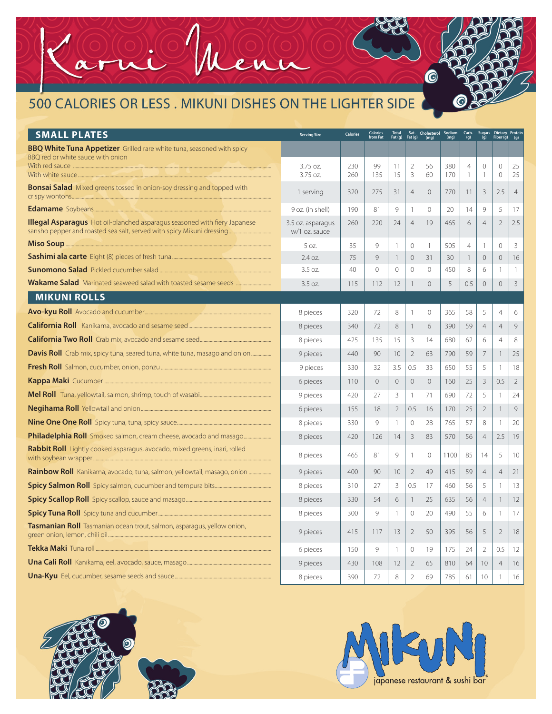## 500 CALORIES OR LESS . MIKUNI DISHES ON THE LIGHTER SIDE

| <b>SMALL PLATES</b>                                                               | <b>Serving Size</b>                | <b>Calories</b> | <b>Calories</b><br>from Fat | Total<br>Fat (g)        |                          | Sat. Cholesterol Sodium<br>Fat (g) (mg) (mg) |            | $\frac{Carb.}{(g)}$                        |                           | Sugars Dietary Protein<br>(g) Fiber (g) (g) |                |
|-----------------------------------------------------------------------------------|------------------------------------|-----------------|-----------------------------|-------------------------|--------------------------|----------------------------------------------|------------|--------------------------------------------|---------------------------|---------------------------------------------|----------------|
| <b>BBQ White Tuna Appetizer</b> Grilled rare white tuna, seasoned with spicy      |                                    |                 |                             |                         |                          |                                              |            |                                            |                           |                                             |                |
| BBO red or white sauce with onion                                                 | 3.75 oz.<br>$3.75$ oz.             | 230<br>260      | 99<br>135                   | 11<br>15                | 2<br>$\overline{3}$      | 56<br>60                                     | 380<br>170 | $\overline{4}$<br>$\overline{\phantom{a}}$ | $\circ$<br>$\overline{1}$ | $\circ$<br>$\Omega$                         | 25<br>25       |
| <b>Bonsai Salad</b> Mixed greens tossed in onion-soy dressing and topped with     | 1 serving                          | 320             | 275                         | 31                      | $\overline{4}$           | $\overline{0}$                               | 770        | 11                                         | $\overline{3}$            | 2.5                                         | $\overline{4}$ |
|                                                                                   | 9 oz. (in shell)                   | 190             | 81                          | 9                       | $\mathbf{1}$             | $\mathbf{0}$                                 | 20         | 14                                         | 9                         | 5                                           | 17             |
| <b>Illegal Asparagus</b> Hot oil-blanched asparagus seasoned with fiery Japanese  | 3.5 oz. asparagus<br>w/1 oz. sauce | 260             | 220                         | 24                      | $\overline{4}$           | 19                                           | 465        | 6                                          | $\overline{4}$            | $\overline{2}$                              | 2.5            |
|                                                                                   | 5.07.                              | 35              | 9                           | -1                      | $\bigcirc$               | $\overline{1}$                               | 505        | $\overline{4}$                             | 1                         | $\Omega$                                    | 3              |
|                                                                                   | 2.4 oz.                            | 75              | $\circ$                     | -1                      | $\circ$                  | 31                                           | 30         | $\overline{\phantom{a}}$                   | $\overline{0}$            | $\overline{0}$                              | 16             |
|                                                                                   | 3.5 oz.                            | 40              | $\overline{()}$             | $\mathbf 0$             | $\Omega$                 | $\overline{0}$                               | 450        | 8                                          | 6                         | $\overline{1}$                              | $\mathbf{1}$   |
|                                                                                   | 3.5 oz.                            | 115             | 112                         | 12                      |                          | $\Omega$                                     | 5          | 0.5                                        | $\Omega$                  | $\circ$                                     | $\mathcal{E}$  |
| <b>MIKUNI ROLLS</b>                                                               |                                    |                 |                             |                         |                          |                                              |            |                                            |                           |                                             |                |
|                                                                                   | 8 pieces                           | 320             | 72                          | 8                       | 1                        | $\mathbf{0}$                                 | 365        | 58                                         | 5                         | $\overline{4}$                              | 6              |
|                                                                                   | 8 pieces                           | 340             | 72                          | 8                       | 1                        | 6                                            | 390        | 59                                         | $\overline{4}$            | $\overline{4}$                              | 9              |
|                                                                                   | 8 pieces                           | 425             | 135                         | 15                      | 3                        | 14                                           | 680        | 62                                         | 6                         | $\overline{4}$                              | 8              |
| <b>Davis Roll</b> Crab mix, spicy tuna, seared tuna, white tuna, masago and onion | 9 pieces                           | 440             | 90                          | 10                      | $\overline{2}$           | 63                                           | 790        | 59                                         | $\overline{7}$            | $\mathbf{1}$                                | 25             |
|                                                                                   | 9 pieces                           | 330             | 32                          | 3.5                     | 0.5                      | 33                                           | 650        | 55                                         | 5                         | $\overline{1}$                              | 18             |
|                                                                                   | 6 pieces                           | 110             | $\overline{0}$              | $\overline{0}$          | $\mathbf{0}$             | $\overline{0}$                               | 160        | 25                                         | $\overline{3}$            | 0.5                                         | $\overline{2}$ |
|                                                                                   | 9 pieces                           | 420             | 27                          | 3                       | $\overline{1}$           | 71                                           | 690        | 72                                         | 5                         | $\overline{1}$                              | 24             |
|                                                                                   | 6 pieces                           | 155             | 18                          | $\overline{2}$          | 0.5                      | 16                                           | 170        | 25                                         | $\overline{2}$            | $\mathbf{1}$                                | 9              |
|                                                                                   | 8 pieces                           | 330             | $\circ$                     | $\overline{1}$          | $\Omega$                 | 28                                           | 765        | 57                                         | 8                         | -1                                          | 20             |
| <b>Philadelphia Roll</b> Smoked salmon, cream cheese, avocado and masago          | 8 pieces                           | 420             | 126                         | 14                      | 3                        | 83                                           | 570        | 56                                         | $\overline{4}$            | 2.5                                         | 19             |
| Rabbit Roll Lightly cooked asparagus, avocado, mixed greens, inari, rolled        | 8 pieces                           | 465             | 81                          | 9                       | -1                       | $\circ$                                      | 1100       | 85                                         | 14                        | 5                                           | 10             |
| <b>Rainbow Roll</b> Kanikama, avocado, tuna, salmon, yellowtail, masago, onion    | 9 pieces                           | 400             | 90                          | 10                      | $\overline{2}$           | 49                                           | 415        | 59                                         | $\overline{4}$            | $\overline{4}$                              | 21             |
|                                                                                   | 8 pieces                           | 310             | 27                          | 3                       | 0.5                      | 17                                           | 460        | 56                                         | 5                         | $\mathbf{1}$                                | 13             |
|                                                                                   | 8 pieces                           | 330             | 54                          | 6                       | $\mathbf{1}$             | 25                                           | 635        | 56                                         | $\overline{4}$            | $\overline{1}$                              | 12             |
|                                                                                   | 8 pieces                           | 300             | $\circ$                     | -1                      | $\circ$                  | 20                                           | 490        | 55                                         | 6                         | $\overline{1}$                              | 17             |
| Tasmanian Roll Tasmanian ocean trout, salmon, asparagus, yellow onion,            | 9 pieces                           | 415             | 117                         | 13                      | 2                        | 50                                           | 395        | 56                                         | 5                         | $\overline{2}$                              | 18             |
|                                                                                   | 6 pieces                           | 150             | $\mathsf{Q}$                | $\mathbf{1}$            | $\circ$                  | 19                                           | 175        | 24                                         | $\overline{2}$            | 0.5                                         | 12             |
|                                                                                   | 9 pieces                           | 430             | 108                         | 12                      | $\overline{2}$           | 65                                           | 810        | 64                                         | 10                        | $\overline{4}$                              | 16             |
|                                                                                   | 8 nieces                           | 390             | 72                          | $\mathsf{\overline{8}}$ | $\overline{\phantom{a}}$ | 69                                           | 785        | 61                                         | 10                        |                                             | 16             |

 $\overline{\mathbf{L}}$ 





 $\bullet$